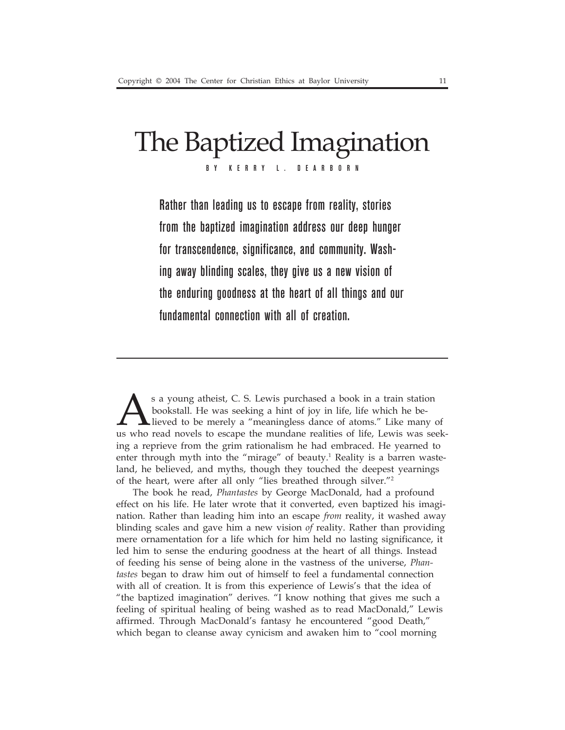# The Baptized Imagination BY KERRY L. DEARBORN

Rather than leading us to escape from reality, stories from the baptized imagination address our deep hunger for transcendence, significance, and community. Washing away blinding scales, they give us a new vision of the enduring goodness at the heart of all things and our fundamental connection with all of creation.

s a young atheist, C. S. Lewis purchased a book in a train station<br>bookstall. He was seeking a hint of joy in life, life which he be-<br>lieved to be merely a "meaningless dance of atoms." Like many<br>us who read novels to esca bookstall. He was seeking a hint of joy in life, life which he believed to be merely a "meaningless dance of atoms." Like many of us who read novels to escape the mundane realities of life, Lewis was seeking a reprieve from the grim rationalism he had embraced. He yearned to enter through myth into the "mirage" of beauty.<sup>1</sup> Reality is a barren wasteland, he believed, and myths, though they touched the deepest yearnings of the heart, were after all only "lies breathed through silver."2

The book he read, *Phantastes* by George MacDonald, had a profound effect on his life. He later wrote that it converted, even baptized his imagination. Rather than leading him into an escape *from* reality, it washed away blinding scales and gave him a new vision *of* reality. Rather than providing mere ornamentation for a life which for him held no lasting significance, it led him to sense the enduring goodness at the heart of all things. Instead of feeding his sense of being alone in the vastness of the universe, *Phantastes* began to draw him out of himself to feel a fundamental connection with all of creation. It is from this experience of Lewis's that the idea of "the baptized imagination" derives. "I know nothing that gives me such a feeling of spiritual healing of being washed as to read MacDonald," Lewis affirmed. Through MacDonald's fantasy he encountered "good Death," which began to cleanse away cynicism and awaken him to "cool morning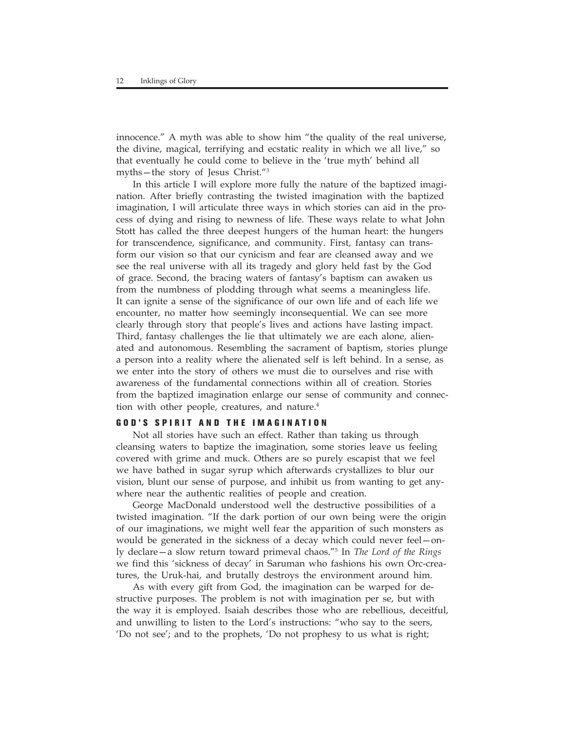innocence." A myth was able to show him "the quality of the real universe, the divine, magical, terrifying and ecstatic reality in which we all live," so that eventually he could come to believe in the 'true myth' behind all myths—the story of Jesus Christ."3

In this article I will explore more fully the nature of the baptized imagination. After briefly contrasting the twisted imagination with the baptized imagination, I will articulate three ways in which stories can aid in the process of dying and rising to newness of life. These ways relate to what John Stott has called the three deepest hungers of the human heart: the hungers for transcendence, significance, and community. First, fantasy can transform our vision so that our cynicism and fear are cleansed away and we see the real universe with all its tragedy and glory held fast by the God of grace. Second, the bracing waters of fantasy's baptism can awaken us from the numbness of plodding through what seems a meaningless life. It can ignite a sense of the significance of our own life and of each life we encounter, no matter how seemingly inconsequential. We can see more clearly through story that people's lives and actions have lasting impact. Third, fantasy challenges the lie that ultimately we are each alone, alienated and autonomous. Resembling the sacrament of baptism, stories plunge a person into a reality where the alienated self is left behind. In a sense, as we enter into the story of others we must die to ourselves and rise with awareness of the fundamental connections within all of creation. Stories from the baptized imagination enlarge our sense of community and connection with other people, creatures, and nature.<sup>4</sup>

# **GOD'S SPIRIT AND THE IMAGINATION**

Not all stories have such an effect. Rather than taking us through cleansing waters to baptize the imagination, some stories leave us feeling covered with grime and muck. Others are so purely escapist that we feel we have bathed in sugar syrup which afterwards crystallizes to blur our vision, blunt our sense of purpose, and inhibit us from wanting to get anywhere near the authentic realities of people and creation.

George MacDonald understood well the destructive possibilities of a twisted imagination. "If the dark portion of our own being were the origin of our imaginations, we might well fear the apparition of such monsters as would be generated in the sickness of a decay which could never feel—only declare—a slow return toward primeval chaos."5 In *The Lord of the Rings* we find this 'sickness of decay' in Saruman who fashions his own Orc-creatures, the Uruk-hai, and brutally destroys the environment around him.

As with every gift from God, the imagination can be warped for destructive purposes. The problem is not with imagination per se, but with the way it is employed. Isaiah describes those who are rebellious, deceitful, and unwilling to listen to the Lord's instructions: "who say to the seers, 'Do not see'; and to the prophets, 'Do not prophesy to us what is right;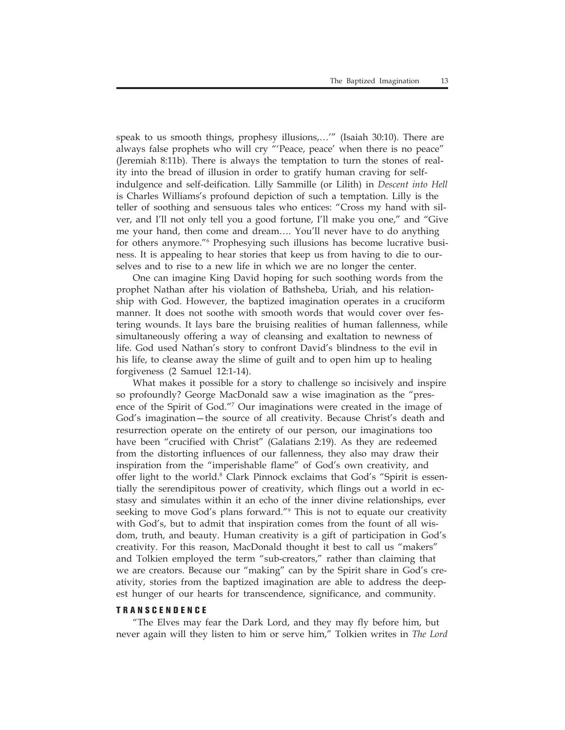speak to us smooth things, prophesy illusions,…'" (Isaiah 30:10). There are always false prophets who will cry "'Peace, peace' when there is no peace" (Jeremiah 8:11b). There is always the temptation to turn the stones of reality into the bread of illusion in order to gratify human craving for selfindulgence and self-deification. Lilly Sammille (or Lilith) in *Descent into Hell* is Charles Williams's profound depiction of such a temptation. Lilly is the teller of soothing and sensuous tales who entices: "Cross my hand with silver, and I'll not only tell you a good fortune, I'll make you one," and "Give me your hand, then come and dream…. You'll never have to do anything for others anymore."6 Prophesying such illusions has become lucrative business. It is appealing to hear stories that keep us from having to die to ourselves and to rise to a new life in which we are no longer the center.

One can imagine King David hoping for such soothing words from the prophet Nathan after his violation of Bathsheba, Uriah, and his relationship with God. However, the baptized imagination operates in a cruciform manner. It does not soothe with smooth words that would cover over festering wounds. It lays bare the bruising realities of human fallenness, while simultaneously offering a way of cleansing and exaltation to newness of life. God used Nathan's story to confront David's blindness to the evil in his life, to cleanse away the slime of guilt and to open him up to healing forgiveness (2 Samuel 12:1-14).

What makes it possible for a story to challenge so incisively and inspire so profoundly? George MacDonald saw a wise imagination as the "presence of the Spirit of God."7 Our imaginations were created in the image of God's imagination—the source of all creativity. Because Christ's death and resurrection operate on the entirety of our person, our imaginations too have been "crucified with Christ" (Galatians 2:19). As they are redeemed from the distorting influences of our fallenness, they also may draw their inspiration from the "imperishable flame" of God's own creativity, and offer light to the world.<sup>8</sup> Clark Pinnock exclaims that God's "Spirit is essentially the serendipitous power of creativity, which flings out a world in ecstasy and simulates within it an echo of the inner divine relationships, ever seeking to move God's plans forward."9 This is not to equate our creativity with God's, but to admit that inspiration comes from the fount of all wisdom, truth, and beauty. Human creativity is a gift of participation in God's creativity. For this reason, MacDonald thought it best to call us "makers" and Tolkien employed the term "sub-creators," rather than claiming that we are creators. Because our "making" can by the Spirit share in God's creativity, stories from the baptized imagination are able to address the deepest hunger of our hearts for transcendence, significance, and community.

## **TRANSCENDENCE**

"The Elves may fear the Dark Lord, and they may fly before him, but never again will they listen to him or serve him," Tolkien writes in *The Lord*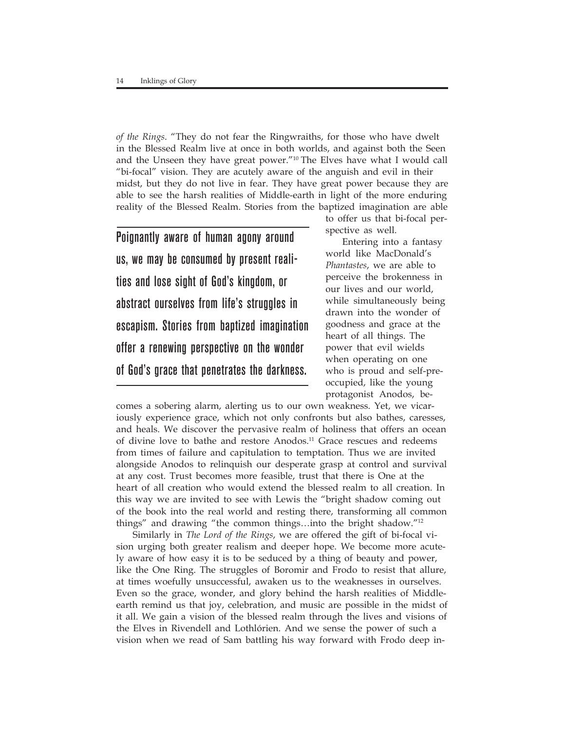*of the Rings*. "They do not fear the Ringwraiths, for those who have dwelt in the Blessed Realm live at once in both worlds, and against both the Seen and the Unseen they have great power."<sup>10</sup> The Elves have what I would call "bi-focal" vision. They are acutely aware of the anguish and evil in their midst, but they do not live in fear. They have great power because they are able to see the harsh realities of Middle-earth in light of the more enduring reality of the Blessed Realm. Stories from the baptized imagination are able

Poignantly aware of human agony around us, we may be consumed by present realities and lose sight of God's kingdom, or abstract ourselves from life's struggles in escapism. Stories from baptized imagination offer a renewing perspective on the wonder of God's grace that penetrates the darkness.

to offer us that bi-focal perspective as well.

Entering into a fantasy world like MacDonald's *Phantastes*, we are able to perceive the brokenness in our lives and our world, while simultaneously being drawn into the wonder of goodness and grace at the heart of all things. The power that evil wields when operating on one who is proud and self-preoccupied, like the young protagonist Anodos, be-

comes a sobering alarm, alerting us to our own weakness. Yet, we vicariously experience grace, which not only confronts but also bathes, caresses, and heals. We discover the pervasive realm of holiness that offers an ocean of divine love to bathe and restore Anodos.<sup>11</sup> Grace rescues and redeems from times of failure and capitulation to temptation. Thus we are invited alongside Anodos to relinquish our desperate grasp at control and survival at any cost. Trust becomes more feasible, trust that there is One at the heart of all creation who would extend the blessed realm to all creation. In this way we are invited to see with Lewis the "bright shadow coming out of the book into the real world and resting there, transforming all common things" and drawing "the common things…into the bright shadow."12

Similarly in *The Lord of the Rings*, we are offered the gift of bi-focal vision urging both greater realism and deeper hope. We become more acutely aware of how easy it is to be seduced by a thing of beauty and power, like the One Ring. The struggles of Boromir and Frodo to resist that allure, at times woefully unsuccessful, awaken us to the weaknesses in ourselves. Even so the grace, wonder, and glory behind the harsh realities of Middleearth remind us that joy, celebration, and music are possible in the midst of it all. We gain a vision of the blessed realm through the lives and visions of the Elves in Rivendell and Lothlórien. And we sense the power of such a vision when we read of Sam battling his way forward with Frodo deep in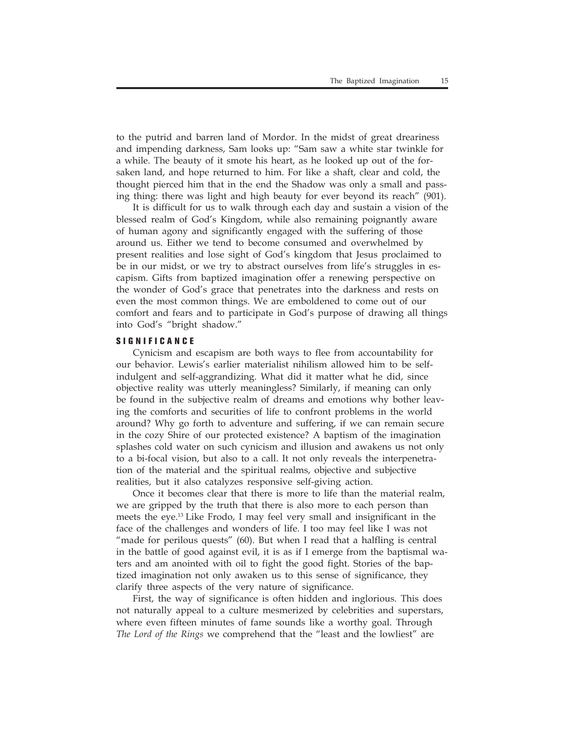to the putrid and barren land of Mordor. In the midst of great dreariness and impending darkness, Sam looks up: "Sam saw a white star twinkle for a while. The beauty of it smote his heart, as he looked up out of the forsaken land, and hope returned to him. For like a shaft, clear and cold, the thought pierced him that in the end the Shadow was only a small and passing thing: there was light and high beauty for ever beyond its reach" (901).

It is difficult for us to walk through each day and sustain a vision of the blessed realm of God's Kingdom, while also remaining poignantly aware of human agony and significantly engaged with the suffering of those around us. Either we tend to become consumed and overwhelmed by present realities and lose sight of God's kingdom that Jesus proclaimed to be in our midst, or we try to abstract ourselves from life's struggles in escapism. Gifts from baptized imagination offer a renewing perspective on the wonder of God's grace that penetrates into the darkness and rests on even the most common things. We are emboldened to come out of our comfort and fears and to participate in God's purpose of drawing all things into God's "bright shadow."

# **SIGNIFICANCE**

Cynicism and escapism are both ways to flee from accountability for our behavior. Lewis's earlier materialist nihilism allowed him to be selfindulgent and self-aggrandizing. What did it matter what he did, since objective reality was utterly meaningless? Similarly, if meaning can only be found in the subjective realm of dreams and emotions why bother leaving the comforts and securities of life to confront problems in the world around? Why go forth to adventure and suffering, if we can remain secure in the cozy Shire of our protected existence? A baptism of the imagination splashes cold water on such cynicism and illusion and awakens us not only to a bi-focal vision, but also to a call. It not only reveals the interpenetration of the material and the spiritual realms, objective and subjective realities, but it also catalyzes responsive self-giving action.

Once it becomes clear that there is more to life than the material realm, we are gripped by the truth that there is also more to each person than meets the eye.13 Like Frodo, I may feel very small and insignificant in the face of the challenges and wonders of life. I too may feel like I was not "made for perilous quests" (60). But when I read that a halfling is central in the battle of good against evil, it is as if I emerge from the baptismal waters and am anointed with oil to fight the good fight. Stories of the baptized imagination not only awaken us to this sense of significance, they clarify three aspects of the very nature of significance.

First, the way of significance is often hidden and inglorious. This does not naturally appeal to a culture mesmerized by celebrities and superstars, where even fifteen minutes of fame sounds like a worthy goal. Through *The Lord of the Rings* we comprehend that the "least and the lowliest" are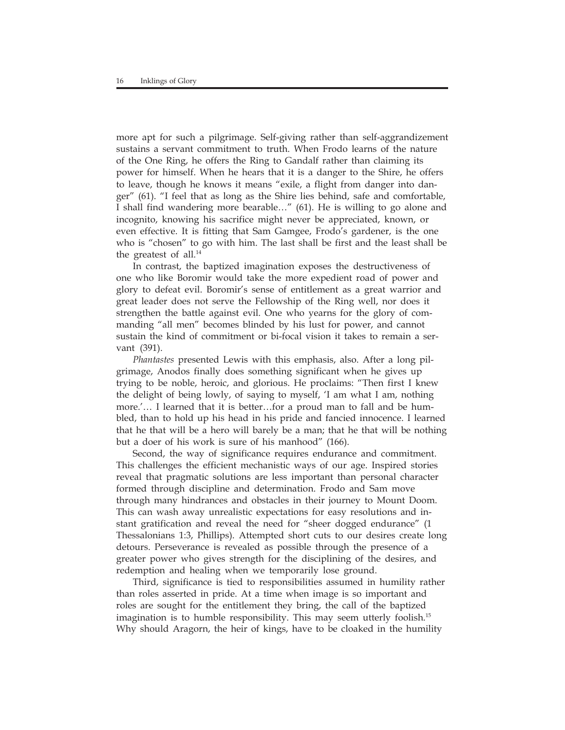more apt for such a pilgrimage. Self-giving rather than self-aggrandizement sustains a servant commitment to truth. When Frodo learns of the nature of the One Ring, he offers the Ring to Gandalf rather than claiming its power for himself. When he hears that it is a danger to the Shire, he offers to leave, though he knows it means "exile, a flight from danger into danger" (61). "I feel that as long as the Shire lies behind, safe and comfortable, I shall find wandering more bearable…" (61). He is willing to go alone and incognito, knowing his sacrifice might never be appreciated, known, or even effective. It is fitting that Sam Gamgee, Frodo's gardener, is the one who is "chosen" to go with him. The last shall be first and the least shall be the greatest of all.<sup>14</sup>

In contrast, the baptized imagination exposes the destructiveness of one who like Boromir would take the more expedient road of power and glory to defeat evil. Boromir's sense of entitlement as a great warrior and great leader does not serve the Fellowship of the Ring well, nor does it strengthen the battle against evil. One who yearns for the glory of commanding "all men" becomes blinded by his lust for power, and cannot sustain the kind of commitment or bi-focal vision it takes to remain a servant (391).

*Phantastes* presented Lewis with this emphasis, also. After a long pilgrimage, Anodos finally does something significant when he gives up trying to be noble, heroic, and glorious. He proclaims: "Then first I knew the delight of being lowly, of saying to myself, 'I am what I am, nothing more.'… I learned that it is better…for a proud man to fall and be humbled, than to hold up his head in his pride and fancied innocence. I learned that he that will be a hero will barely be a man; that he that will be nothing but a doer of his work is sure of his manhood" (166).

Second, the way of significance requires endurance and commitment. This challenges the efficient mechanistic ways of our age. Inspired stories reveal that pragmatic solutions are less important than personal character formed through discipline and determination. Frodo and Sam move through many hindrances and obstacles in their journey to Mount Doom. This can wash away unrealistic expectations for easy resolutions and instant gratification and reveal the need for "sheer dogged endurance" (1 Thessalonians 1:3, Phillips). Attempted short cuts to our desires create long detours. Perseverance is revealed as possible through the presence of a greater power who gives strength for the disciplining of the desires, and redemption and healing when we temporarily lose ground.

Third, significance is tied to responsibilities assumed in humility rather than roles asserted in pride. At a time when image is so important and roles are sought for the entitlement they bring, the call of the baptized imagination is to humble responsibility. This may seem utterly foolish.15 Why should Aragorn, the heir of kings, have to be cloaked in the humility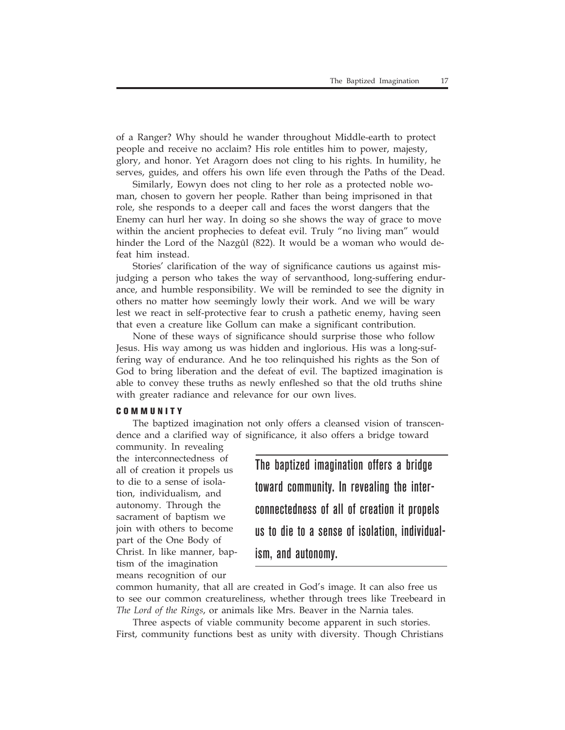of a Ranger? Why should he wander throughout Middle-earth to protect people and receive no acclaim? His role entitles him to power, majesty, glory, and honor. Yet Aragorn does not cling to his rights. In humility, he serves, guides, and offers his own life even through the Paths of the Dead.

Similarly, Eowyn does not cling to her role as a protected noble woman, chosen to govern her people. Rather than being imprisoned in that role, she responds to a deeper call and faces the worst dangers that the Enemy can hurl her way. In doing so she shows the way of grace to move within the ancient prophecies to defeat evil. Truly "no living man" would hinder the Lord of the Nazgûl (822). It would be a woman who would defeat him instead.

Stories' clarification of the way of significance cautions us against misjudging a person who takes the way of servanthood, long-suffering endurance, and humble responsibility. We will be reminded to see the dignity in others no matter how seemingly lowly their work. And we will be wary lest we react in self-protective fear to crush a pathetic enemy, having seen that even a creature like Gollum can make a significant contribution.

None of these ways of significance should surprise those who follow Jesus. His way among us was hidden and inglorious. His was a long-suffering way of endurance. And he too relinquished his rights as the Son of God to bring liberation and the defeat of evil. The baptized imagination is able to convey these truths as newly enfleshed so that the old truths shine with greater radiance and relevance for our own lives.

#### **COMMUNITY**

The baptized imagination not only offers a cleansed vision of transcendence and a clarified way of significance, it also offers a bridge toward

community. In revealing the interconnectedness of all of creation it propels us to die to a sense of isolation, individualism, and autonomy. Through the sacrament of baptism we join with others to become part of the One Body of Christ. In like manner, baptism of the imagination means recognition of our

The baptized imagination offers a bridge toward community. In revealing the interconnectedness of all of creation it propels us to die to a sense of isolation, individualism, and autonomy.

common humanity, that all are created in God's image. It can also free us to see our common creatureliness, whether through trees like Treebeard in *The Lord of the Rings*, or animals like Mrs. Beaver in the Narnia tales*.*

Three aspects of viable community become apparent in such stories. First, community functions best as unity with diversity. Though Christians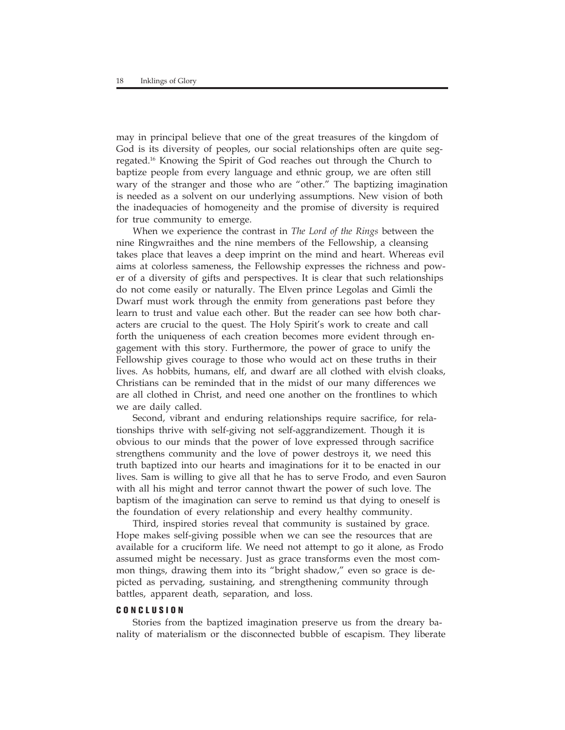may in principal believe that one of the great treasures of the kingdom of God is its diversity of peoples, our social relationships often are quite segregated.16 Knowing the Spirit of God reaches out through the Church to baptize people from every language and ethnic group, we are often still wary of the stranger and those who are "other." The baptizing imagination is needed as a solvent on our underlying assumptions. New vision of both the inadequacies of homogeneity and the promise of diversity is required for true community to emerge.

When we experience the contrast in *The Lord of the Rings* between the nine Ringwraithes and the nine members of the Fellowship, a cleansing takes place that leaves a deep imprint on the mind and heart. Whereas evil aims at colorless sameness, the Fellowship expresses the richness and power of a diversity of gifts and perspectives. It is clear that such relationships do not come easily or naturally. The Elven prince Legolas and Gimli the Dwarf must work through the enmity from generations past before they learn to trust and value each other. But the reader can see how both characters are crucial to the quest. The Holy Spirit's work to create and call forth the uniqueness of each creation becomes more evident through engagement with this story. Furthermore, the power of grace to unify the Fellowship gives courage to those who would act on these truths in their lives. As hobbits, humans, elf, and dwarf are all clothed with elvish cloaks, Christians can be reminded that in the midst of our many differences we are all clothed in Christ, and need one another on the frontlines to which we are daily called.

Second, vibrant and enduring relationships require sacrifice, for relationships thrive with self-giving not self-aggrandizement. Though it is obvious to our minds that the power of love expressed through sacrifice strengthens community and the love of power destroys it, we need this truth baptized into our hearts and imaginations for it to be enacted in our lives. Sam is willing to give all that he has to serve Frodo, and even Sauron with all his might and terror cannot thwart the power of such love. The baptism of the imagination can serve to remind us that dying to oneself is the foundation of every relationship and every healthy community.

Third, inspired stories reveal that community is sustained by grace. Hope makes self-giving possible when we can see the resources that are available for a cruciform life. We need not attempt to go it alone, as Frodo assumed might be necessary. Just as grace transforms even the most common things, drawing them into its "bright shadow," even so grace is depicted as pervading, sustaining, and strengthening community through battles, apparent death, separation, and loss.

## **CONCLUSION**

Stories from the baptized imagination preserve us from the dreary banality of materialism or the disconnected bubble of escapism. They liberate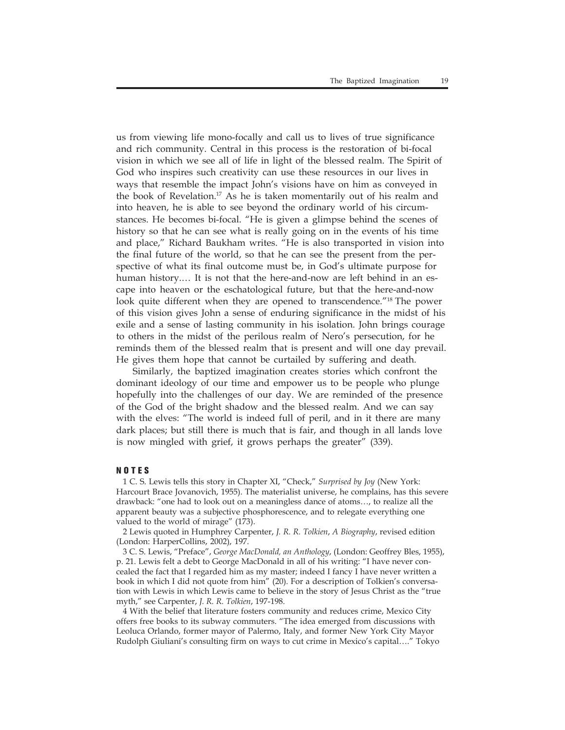us from viewing life mono-focally and call us to lives of true significance and rich community. Central in this process is the restoration of bi-focal vision in which we see all of life in light of the blessed realm. The Spirit of God who inspires such creativity can use these resources in our lives in ways that resemble the impact John's visions have on him as conveyed in the book of Revelation.<sup>17</sup> As he is taken momentarily out of his realm and into heaven, he is able to see beyond the ordinary world of his circumstances. He becomes bi-focal. "He is given a glimpse behind the scenes of history so that he can see what is really going on in the events of his time and place," Richard Baukham writes. "He is also transported in vision into the final future of the world, so that he can see the present from the perspective of what its final outcome must be, in God's ultimate purpose for human history.… It is not that the here-and-now are left behind in an escape into heaven or the eschatological future, but that the here-and-now look quite different when they are opened to transcendence."18 The power of this vision gives John a sense of enduring significance in the midst of his exile and a sense of lasting community in his isolation. John brings courage to others in the midst of the perilous realm of Nero's persecution, for he reminds them of the blessed realm that is present and will one day prevail. He gives them hope that cannot be curtailed by suffering and death.

Similarly, the baptized imagination creates stories which confront the dominant ideology of our time and empower us to be people who plunge hopefully into the challenges of our day. We are reminded of the presence of the God of the bright shadow and the blessed realm. And we can say with the elves: "The world is indeed full of peril, and in it there are many dark places; but still there is much that is fair, and though in all lands love is now mingled with grief, it grows perhaps the greater" (339).

### **NOTES**

1 C. S. Lewis tells this story in Chapter XI, "Check," *Surprised by Joy* (New York: Harcourt Brace Jovanovich, 1955). The materialist universe, he complains, has this severe drawback: "one had to look out on a meaningless dance of atoms…, to realize all the apparent beauty was a subjective phosphorescence, and to relegate everything one valued to the world of mirage" (173).

2 Lewis quoted in Humphrey Carpenter, *J. R. R. Tolkien*, *A Biography*, revised edition (London: HarperCollins, 2002), 197.

3 C. S. Lewis, "Preface", *George MacDonald, an Anthology*, (London: Geoffrey Bles, 1955), p. 21. Lewis felt a debt to George MacDonald in all of his writing: "I have never concealed the fact that I regarded him as my master; indeed I fancy I have never written a book in which I did not quote from him" (20). For a description of Tolkien's conversation with Lewis in which Lewis came to believe in the story of Jesus Christ as the "true myth," see Carpenter, *J. R. R. Tolkien*, 197-198.

4 With the belief that literature fosters community and reduces crime, Mexico City offers free books to its subway commuters. "The idea emerged from discussions with Leoluca Orlando, former mayor of Palermo, Italy, and former New York City Mayor Rudolph Giuliani's consulting firm on ways to cut crime in Mexico's capital…." Tokyo